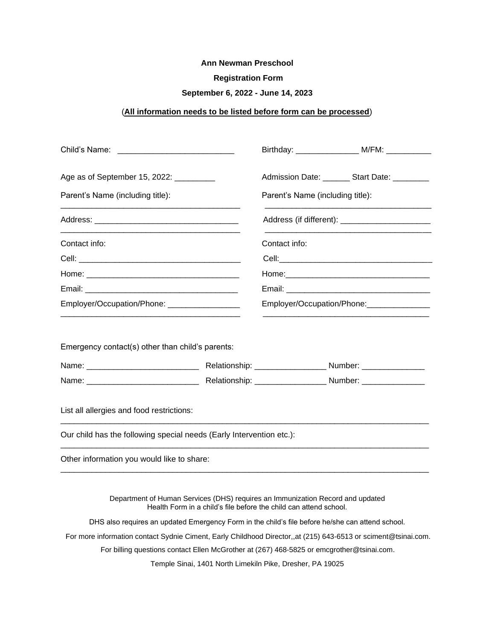## **Ann Newman Preschool**

## **Registration Form**

## **September 6, 2022 - June 14, 2023**

# (**All information needs to be listed before form can be processed**)

|                                                                                                                   |                                  |                                                                   | Birthday: _________________________ M/FM: ______________ |  |
|-------------------------------------------------------------------------------------------------------------------|----------------------------------|-------------------------------------------------------------------|----------------------------------------------------------|--|
| Age as of September 15, 2022: __________                                                                          |                                  |                                                                   | Admission Date: ________ Start Date: _________           |  |
| Parent's Name (including title):                                                                                  | Parent's Name (including title): |                                                                   |                                                          |  |
|                                                                                                                   |                                  |                                                                   |                                                          |  |
| Contact info:                                                                                                     |                                  | Contact info:                                                     |                                                          |  |
|                                                                                                                   |                                  |                                                                   |                                                          |  |
|                                                                                                                   |                                  |                                                                   |                                                          |  |
|                                                                                                                   |                                  |                                                                   |                                                          |  |
| Employer/Occupation/Phone: _________________                                                                      |                                  | Employer/Occupation/Phone:                                        |                                                          |  |
|                                                                                                                   |                                  |                                                                   |                                                          |  |
|                                                                                                                   |                                  |                                                                   |                                                          |  |
| List all allergies and food restrictions:<br>Our child has the following special needs (Early Intervention etc.): |                                  |                                                                   |                                                          |  |
| Other information you would like to share:                                                                        |                                  |                                                                   |                                                          |  |
| Department of Human Services (DHS) requires an Immunization Record and updated                                    |                                  | Health Form in a child's file before the child can attend school. |                                                          |  |
| DHS also requires an updated Emergency Form in the child's file before he/she can attend school.                  |                                  |                                                                   |                                                          |  |

For more information contact Sydnie Ciment, Early Childhood Director,,at (215) 643-6513 or sciment@tsinai.com.

For billing questions contact Ellen McGrother at (267) 468-5825 or emcgrother@tsinai.com.

Temple Sinai, 1401 North Limekiln Pike, Dresher, PA 19025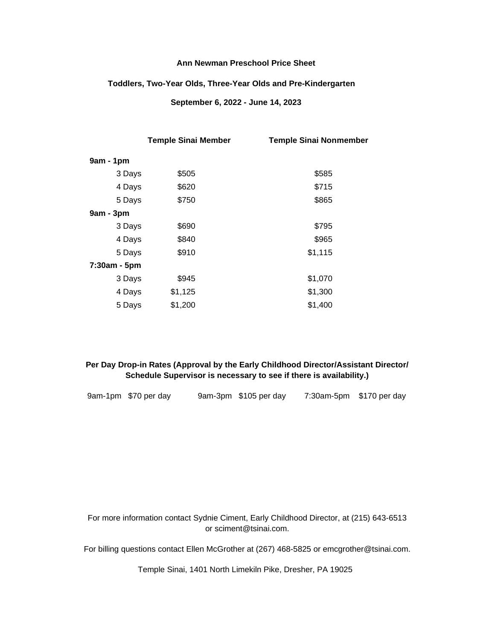## **Ann Newman Preschool Price Sheet**

#### **Toddlers, Two-Year Olds, Three-Year Olds and Pre-Kindergarten**

 **September 6, 2022 - June 14, 2023**

|              | <b>Temple Sinai Member</b> | <b>Temple Sinai Nonmember</b> |
|--------------|----------------------------|-------------------------------|
| $9am - 1pm$  |                            |                               |
| 3 Days       | \$505                      | \$585                         |
| 4 Days       | \$620                      | \$715                         |
| 5 Days       | \$750                      | \$865                         |
| 9am - 3pm    |                            |                               |
| 3 Days       | \$690                      | \$795                         |
| 4 Days       | \$840                      | \$965                         |
| 5 Days       | \$910                      | \$1,115                       |
| 7:30am - 5pm |                            |                               |
| 3 Days       | \$945                      | \$1,070                       |
| 4 Days       | \$1,125                    | \$1,300                       |
| 5 Days       | \$1,200                    | \$1,400                       |

## **Per Day Drop-in Rates (Approval by the Early Childhood Director/Assistant Director/ Schedule Supervisor is necessary to see if there is availability.)**

|  |  | 9am-1pm \$70 per day |  | 9am-3pm \$105 per day | 7:30am-5pm \$170 per day |  |
|--|--|----------------------|--|-----------------------|--------------------------|--|
|--|--|----------------------|--|-----------------------|--------------------------|--|

For more information contact Sydnie Ciment, Early Childhood Director, at (215) 643-6513 or sciment@tsinai.com.

For billing questions contact Ellen McGrother at (267) 468-5825 or emcgrother@tsinai.com.

Temple Sinai, 1401 North Limekiln Pike, Dresher, PA 19025